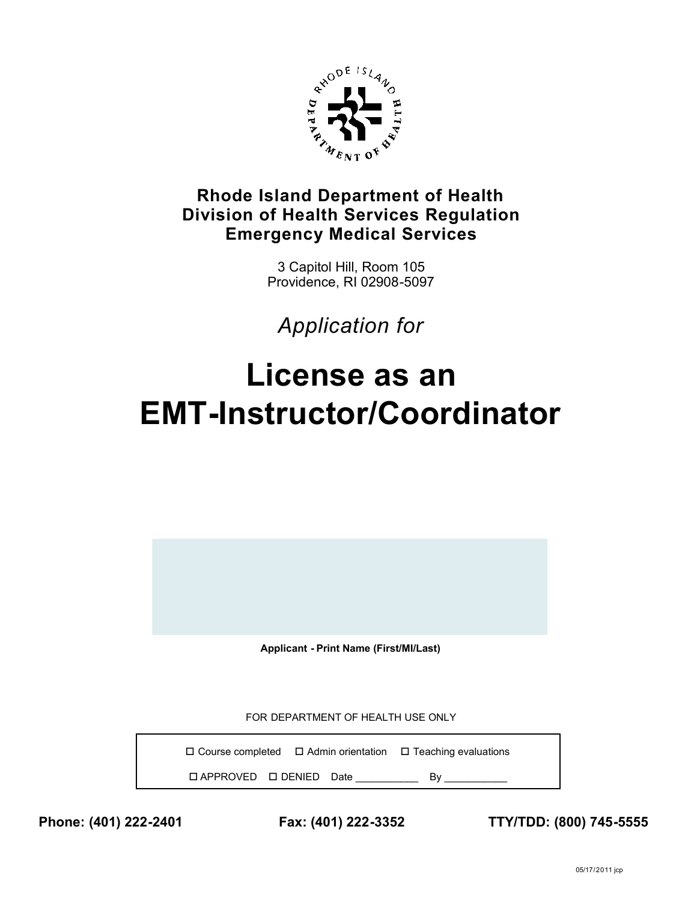

## **Rhode Island Department of Health Division of Health Services Regulation Emergency Medical Services**

3 Capitol Hill, Room 105 Providence, RI 02908-5097

*Application for*

## **License as an EMT-Instructor/Coordinator**

**Applicant - Print Name (First/MI/Last)**

FOR DEPARTMENT OF HEALTH USE ONLY

 $\Box$  Course completed  $\Box$  Admin orientation  $\Box$  Teaching evaluations APPROVED DENIED Date \_\_\_\_\_\_\_\_\_\_\_ By \_\_\_\_\_\_\_\_\_\_\_

**Phone: (401) 222-2401 Fax: (401) 222-3352 TTY/TDD: (800) 745-5555**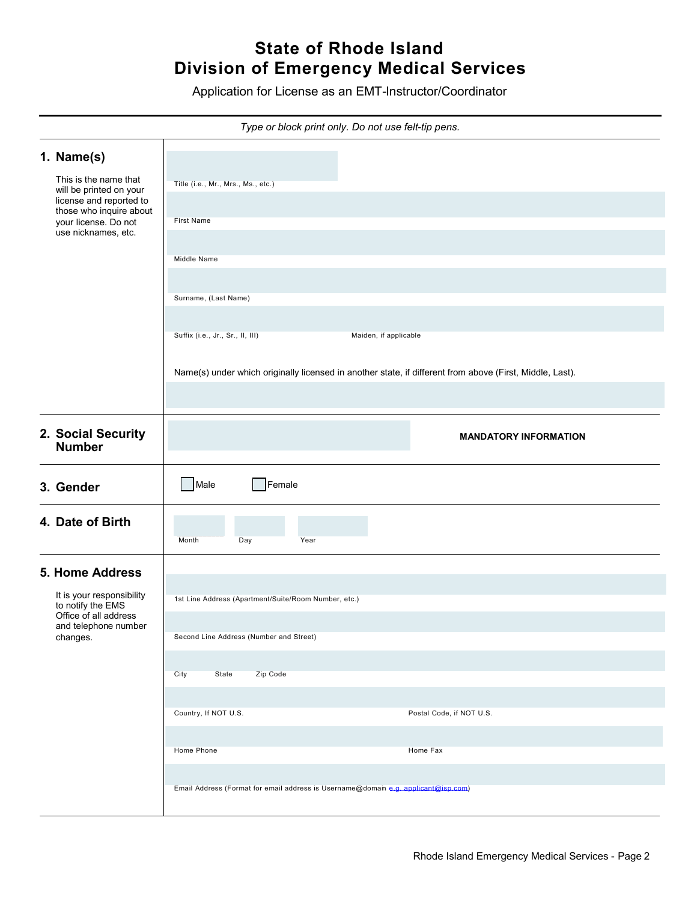## **State of Rhode Island Division of Emergency Medical Services**

Application for License as an EMT-Instructor/Coordinator

|  | Type or block print only. Do not use felt-tip pens.                                                                                          |                                                                                                          |  |  |  |  |  |
|--|----------------------------------------------------------------------------------------------------------------------------------------------|----------------------------------------------------------------------------------------------------------|--|--|--|--|--|
|  | 1. Name(s)<br>This is the name that<br>will be printed on your<br>license and reported to<br>those who inquire about<br>your license. Do not | Title (i.e., Mr., Mrs., Ms., etc.)                                                                       |  |  |  |  |  |
|  |                                                                                                                                              | First Name                                                                                               |  |  |  |  |  |
|  | use nicknames, etc.                                                                                                                          | Middle Name                                                                                              |  |  |  |  |  |
|  |                                                                                                                                              |                                                                                                          |  |  |  |  |  |
|  |                                                                                                                                              | Surname, (Last Name)                                                                                     |  |  |  |  |  |
|  |                                                                                                                                              | Suffix (i.e., Jr., Sr., II, III)<br>Maiden, if applicable                                                |  |  |  |  |  |
|  |                                                                                                                                              | Name(s) under which originally licensed in another state, if different from above (First, Middle, Last). |  |  |  |  |  |
|  |                                                                                                                                              |                                                                                                          |  |  |  |  |  |
|  | 2. Social Security<br><b>Number</b>                                                                                                          | <b>MANDATORY INFORMATION</b>                                                                             |  |  |  |  |  |
|  | 3. Gender                                                                                                                                    | Male<br>Female                                                                                           |  |  |  |  |  |
|  | 4. Date of Birth                                                                                                                             | Month<br>Year<br>Day                                                                                     |  |  |  |  |  |
|  | <b>5. Home Address</b>                                                                                                                       |                                                                                                          |  |  |  |  |  |
|  | It is your responsibility<br>to notify the EMS<br>Office of all address<br>and telephone number<br>changes.                                  | 1st Line Address (Apartment/Suite/Room Number, etc.)                                                     |  |  |  |  |  |
|  |                                                                                                                                              | Second Line Address (Number and Street)                                                                  |  |  |  |  |  |
|  |                                                                                                                                              | Zip Code<br>City<br>State                                                                                |  |  |  |  |  |
|  |                                                                                                                                              | Country, If NOT U.S.<br>Postal Code, if NOT U.S.                                                         |  |  |  |  |  |
|  |                                                                                                                                              |                                                                                                          |  |  |  |  |  |
|  |                                                                                                                                              | Home Phone<br>Home Fax                                                                                   |  |  |  |  |  |
|  |                                                                                                                                              | Email Address (Format for email address is Username@domain e.g. applicant@isp.com)                       |  |  |  |  |  |